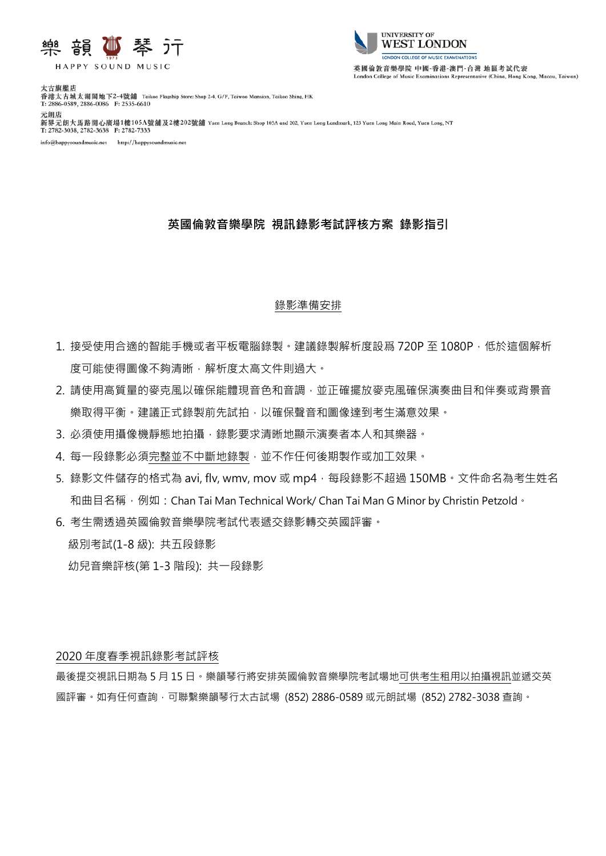

HAPPY SOUND MUSIC



太古旗艦店 《五世太古城太湖閣地下2-4號舖<br>香港太古城太湖閣地下2-4號舖<br>T: 2886-0589, 2886-0086 F: 2535-6610 元朗店 新界元朗大馬路開心廣場1樓105A號舖及2樓202號鋪 Yuen Long Branch: Shop 105A and 202, Yuen Long Landmark, 123 Yuen Long Main Road, Yuen Long, NT T: 2782-3038, 2782-3638 F: 2782-7333

info@happysoundmusic.net http://happysoundmusic.ne

# **英國倫敦音樂學院 視訊錄影考試評核方案 錄影指引**

### 錄影準備安排

- 1. 接受使用合適的智能手機或者平板電腦錄製。建議錄製解析度設爲 720P 至 1080P, 低於這個解析 度可能使得圖像不夠清晰,解析度太高文件則過大。
- 2. 請使用高質量的麥克風以確保能體現音色和音調,並正確擺放麥克風確保演奏曲目和伴奏或背景音 樂取得平衡。建議正式錄製前先試拍,以確保聲音和圖像達到考生滿意效果。
- 3. 必須使用攝像機靜態地拍攝,錄影要求清晰地顯示演奏者本人和其樂器。
- 4. 每一段錄影必須完整並不中斷地錄製,並不作任何後期製作或加工效果。
- 5. 錄影文件儲存的格式為 avi, flv, wmv, mov 或 mp4 · 每段錄影不超過 150MB · 文件命名為考生姓名 和曲目名稱, 例如: Chan Tai Man Technical Work/ Chan Tai Man G Minor by Christin Petzold。
- 6. 考生需透過英國倫敦音樂學院考試代表遞交錄影轉交英國評審。

級別考試(1-8 級): 共五段錄影

幼兒音樂評核(第 1-3 階段): 共一段錄影

### 2020 年度春季視訊錄影考試評核

最後提交視訊日期為 5 月 15 日。樂韻琴行將安排英國倫敦音樂學院考試場地可供考生租用以拍攝視訊並遞交英 國評審。如有任何查詢,可聯繫樂韻琴行太古試場 (852) 2886-0589 或元朗試場 (852) 2782-3038 查詢。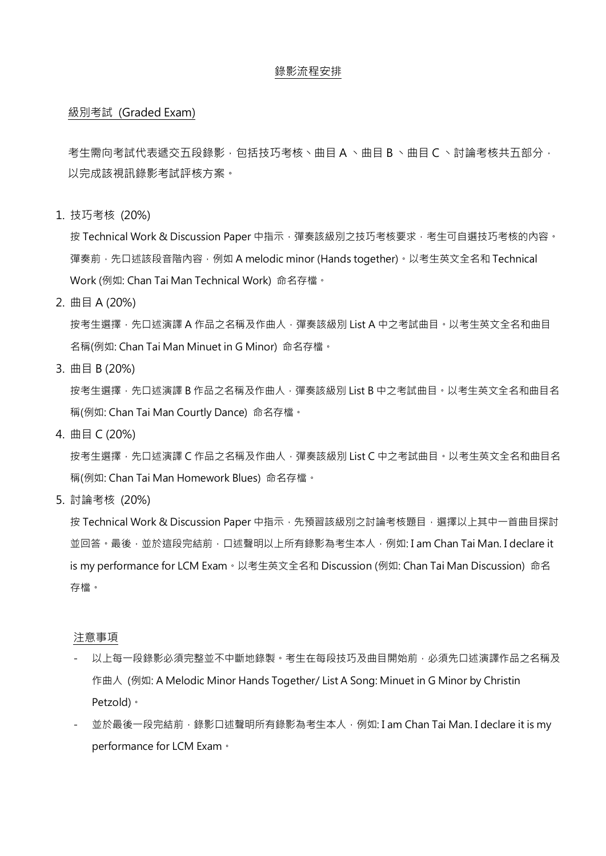#### 錄影流程安排

#### 級別考試 (Graded Exam)

考生需向考試代表遞交五段錄影,包括技巧考核、曲目 A 、曲目 B 、曲目 C 、討論考核共五部分, 以完成該視訊錄影考試評核方案。

1. 技巧考核 (20%)

按 Technical Work & Discussion Paper 中指示,彈奏該級別之技巧考核要求,考生可自選技巧考核的內容。 彈奏前,先口述該段音階內容,例如 A melodic minor (Hands together)。以考生英文全名和 Technical Work (例如: Chan Tai Man Technical Work) 命名存檔。

2. 曲目 A (20%)

按考生選擇,先口述演譯 A 作品之名稱及作曲人,彈奏該級別 List A 中之考試曲目。以考生英文全名和曲目 名稱(例如: Chan Tai Man Minuet in G Minor) 命名存檔。

3. 曲目 B (20%)

按考生選擇,先口述演譯 B 作品之名稱及作曲人,彈奏該級別 List B 中之考試曲目。以考生英文全名和曲目名 稱(例如: Chan Tai Man Courtly Dance) 命名存檔。

4. 曲目 C (20%)

按考生選擇,先口述演譯 C 作品之名稱及作曲人,彈奏該級別 List C 中之考試曲目,以考生英文全名和曲目名 稱(例如: Chan Tai Man Homework Blues) 命名存檔。

5. 討論考核 (20%)

按 Technical Work & Discussion Paper 中指示,先預習該級別之討論考核題目,選擇以上其中一首曲目探討 並回答。最後,並於這段完結前,口述聲明以上所有錄影為考生本人,例如: I am Chan Tai Man. I declare it is my performance for LCM Exam。以考生英文全名和 Discussion (例如: Chan Tai Man Discussion) 命名 存檔。

注意事項

- 以上每一段錄影必須完整並不中斷地錄製。考生在每段技巧及曲目開始前,必須先口述演譯作品之名稱及 作曲人 (例如: A Melodic Minor Hands Together/ List A Song: Minuet in G Minor by Christin Petzold)。
- 並於最後一段完結前,錄影口述聲明所有錄影為考生本人,例如: I am Chan Tai Man. I declare it is my performance for LCM Exam。